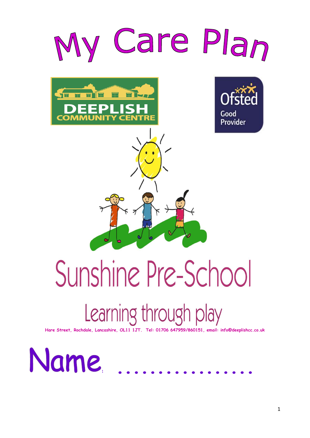

# Learning through play

**Hare Street, Rochdale, Lancashire, OL11 1JT. Tel: 01706 647959/860151, email: info@deeplishcc.co.uk**

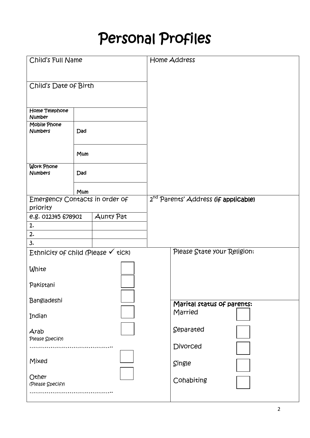# Personal Profiles

| Child's Full Name                             |     | Home Address                                     |                             |  |
|-----------------------------------------------|-----|--------------------------------------------------|-----------------------------|--|
|                                               |     |                                                  |                             |  |
| Child's Date of Birth                         |     |                                                  |                             |  |
|                                               |     |                                                  |                             |  |
| Home Telephone<br>Number                      |     |                                                  |                             |  |
| <b>Mobile Phone</b><br><b>Numbers</b>         | Dad |                                                  |                             |  |
|                                               | Mum |                                                  |                             |  |
| <b>Work Phone</b><br><b>Numbers</b>           | Dad |                                                  |                             |  |
|                                               | Mum |                                                  |                             |  |
| Emergency Contacts in order of<br>priority    |     | 2 <sup>nd</sup> Parents' Address (if applicable) |                             |  |
| e.g. 012345 678901                            |     | <b>Aunty Pat</b>                                 |                             |  |
| 1.                                            |     |                                                  |                             |  |
| 2.                                            |     |                                                  |                             |  |
| 3.                                            |     |                                                  |                             |  |
| Ethnicity of child (Please $\checkmark$ tick) |     |                                                  | Please State your Religion: |  |
| White                                         |     |                                                  |                             |  |
| Pakistani                                     |     |                                                  |                             |  |
| Bangladeshi                                   |     | Marital status of parents:                       |                             |  |
| Indian                                        |     |                                                  | Married                     |  |
| Arab                                          |     | Separated                                        |                             |  |
| Please Specify)                               |     | Divorced                                         |                             |  |
| Mixed                                         |     |                                                  | Single                      |  |
| Other<br>(Please Specify)                     |     | Cohabiting                                       |                             |  |
|                                               |     |                                                  |                             |  |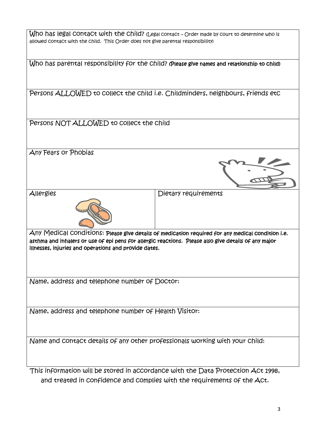| allowed contact with the child. This Order does not give parental responsibility)                                                                                                                                                                                  | $W$ hO has legal COntaCt with the Child? (Legal contact – Order made by court to determine who is |  |  |
|--------------------------------------------------------------------------------------------------------------------------------------------------------------------------------------------------------------------------------------------------------------------|---------------------------------------------------------------------------------------------------|--|--|
|                                                                                                                                                                                                                                                                    | Who has parental responsibility for the Child? (Please give names and relationship to child)      |  |  |
|                                                                                                                                                                                                                                                                    | Persons ALLOWED to collect the child i.e. Childminders, neighbours, friends etc                   |  |  |
| Persons NOT ALLOWED to collect the child                                                                                                                                                                                                                           |                                                                                                   |  |  |
| Any Fears or Phobias                                                                                                                                                                                                                                               |                                                                                                   |  |  |
| Allergies                                                                                                                                                                                                                                                          | Dietary requirements                                                                              |  |  |
| Any Medical conditions: Please give details of medication required for any medical condition i.e.<br>asthma and inhalers or use of epi pens for allergic reactions. Please also give details of any major<br>illnesses, injuries and operations and provide dates. |                                                                                                   |  |  |
| Name, address and telephone number of Doctor:                                                                                                                                                                                                                      |                                                                                                   |  |  |
| Name, address and telephone number of Health Visitor:                                                                                                                                                                                                              |                                                                                                   |  |  |
| Name and contact details of any other professionals working with your child:                                                                                                                                                                                       |                                                                                                   |  |  |
|                                                                                                                                                                                                                                                                    | This information will be stored in accordance with the Data Protection Act 1998,                  |  |  |

and treated in confidence and complies with the requirements of the Act.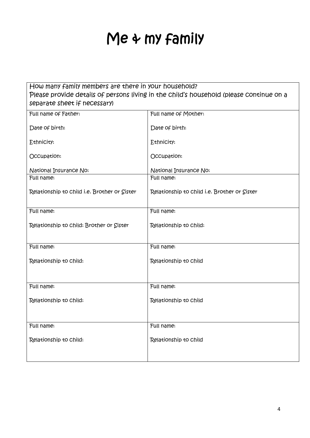# Me & my family

| How many family members are there in your household?<br>separate sheet if necessary) | Please provide details of persons living in the child's household (please continue on a |
|--------------------------------------------------------------------------------------|-----------------------------------------------------------------------------------------|
| Full name of Father:                                                                 | Full name of Mother:                                                                    |
| Date of birth:                                                                       | Date of birth:                                                                          |
| Ethnicity:                                                                           | Ethnicity:                                                                              |
| Occupation:                                                                          | Occupation:                                                                             |
| National Insurance No:                                                               | National Insurance No:                                                                  |
| Full name:                                                                           | Full name:                                                                              |
| Relationship to Child i.e. Brother or Sister                                         | Relationship to Child i.e. Brother or Sister                                            |
| Full name:                                                                           | Full name:                                                                              |
| Relationship to child: Brother or Sister                                             | Relationship to Child:                                                                  |
| Full name:                                                                           | Full name:                                                                              |
| Relationship to Child:                                                               | Relationship to Child                                                                   |
| Full name:                                                                           | Full name:                                                                              |
| Relationship to Child:                                                               | Relationship to Child                                                                   |
| Full name:                                                                           | Full name:                                                                              |
| Relationship to Child:                                                               | Relationship to Child                                                                   |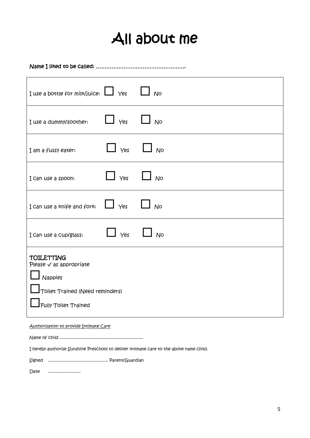# All about me

Name I liked to be called: …………………………………………….

| I use a bottle for milk/juice: $\Box$ Yes                                                                                            |                              | N <sup>o</sup> |
|--------------------------------------------------------------------------------------------------------------------------------------|------------------------------|----------------|
| I use a dummy/soother:                                                                                                               | $\Box$ $\gamma$ es $\Box$ No |                |
| I am a fussy eater:                                                                                                                  | $\Box$ $\forall$ es          | N <sup>o</sup> |
| I can use a spoon:                                                                                                                   | $\Box$ Yes                   | l No           |
| I Can use a knife and fork:                                                                                                          | $\Box$ $\gamma$ es $\Box$ No |                |
| I Can use a Cup/glass:                                                                                                               | Yes                          | <b>No</b>      |
| <b>TOILETTING</b><br>Please $\checkmark$ as appropriate<br>Nappies<br>Toilet Trained (Need reminders)<br><b>Fully Toilet Trained</b> |                              |                |

Authorisation to provide Intimate Care

Name of child ...................................................................

I hereby authorise Sunshine Preschool to deliver intimate care to the above name child.

Signed ................................................ Parent/Guardian

Date .........................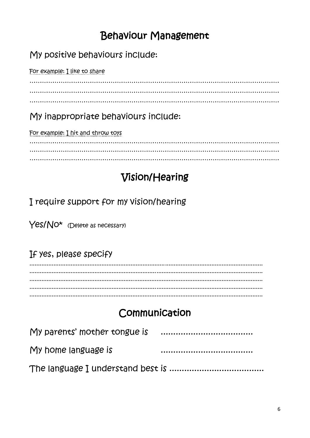## **Behaviour Management**

#### My positive behaviours include:

For example: I like to share 

## My inappropriate behaviours include:

For example: I hit and throw toys

# Vision/Hearing

I require support for my vision/hearing

Yes/No\* (Delete as necessary)

### If yes, please specify

# Communication

| My parents' mother tongue is |  |
|------------------------------|--|
| My home language is          |  |
|                              |  |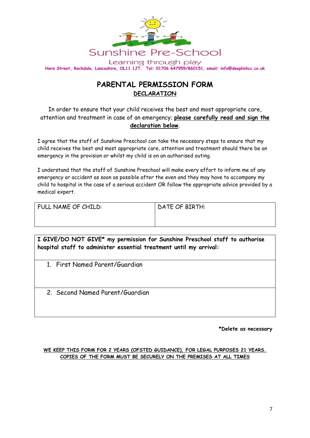

#### **PARENTAL PERMISSION FORM DECLARATION**

In order to ensure that your child receives the best and most appropriate care, attention and treatment in case of an emergency; **please carefully read and sign the declaration below**.

I agree that the staff of Sunshine Preschool can take the necessary steps to ensure that my child receives the best and most appropriate care, attention and treatment should there be an emergency in the provision or whilst my child is on an authorised outing.

I understand that the staff of Sunshine Preschool will make every effort to inform me of any emergency or accident as soon as possible after the even and they may have to accompany my child to hospital in the case of a serious accident OR follow the appropriate advice provided by a medical expert.

| FULL NAME OF CHILD: | DATE OF BIRTH: |
|---------------------|----------------|
|                     |                |

**I GIVE/DO NOT GIVE\* my permission for Sunshine Preschool staff to authorise hospital staff to administer essential treatment until my arrival:**

1. First Named Parent/Guardian

2. Second Named Parent/Guardian

**\*Delete as necessary**

#### **WE KEEP THIS FORM FOR 2 YEARS (OFSTED GUIDANCE), FOR LEGAL PURPOSES 21 YEARS. COPIES OF THE FORM MUST BE SECURELY ON THE PREMISES AT ALL TIMES**